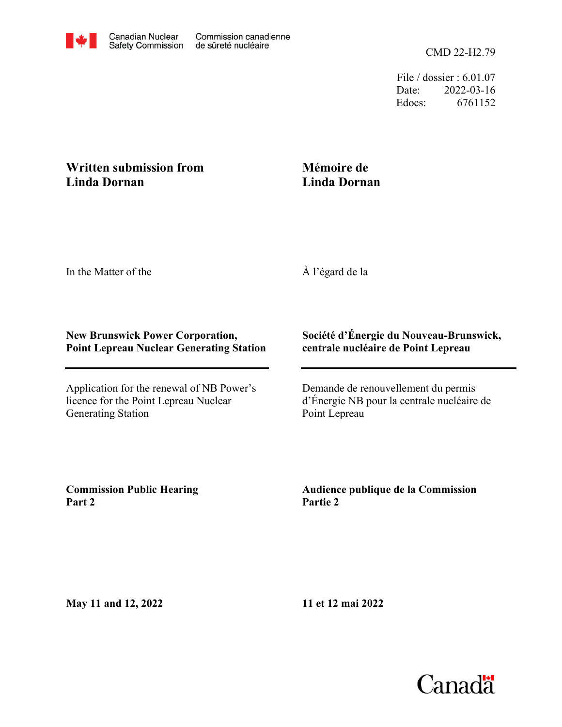File / dossier : 6.01.07 Date: 2022-03-16 Edocs: 6761152

## **Written submission from Linda Dornan**

## **Mémoire de Linda Dornan**

In the Matter of the

À l'égard de la

## **New Brunswick Power Corporation, Point Lepreau Nuclear Generating Station**

Application for the renewal of NB Power's licence for the Point Lepreau Nuclear Generating Station

## **Société d'Énergie du Nouveau-Brunswick, centrale nucléaire de Point Lepreau**

Demande de renouvellement du permis d'Énergie NB pour la centrale nucléaire de Point Lepreau

**Commission Public Hearing Part 2**

**Audience publique de la Commission Partie 2**

**May 11 and 12, 2022**

**11 et 12 mai 2022**